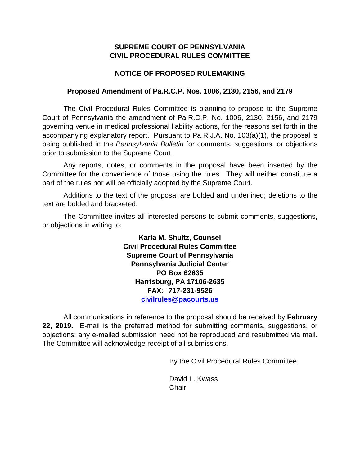## **SUPREME COURT OF PENNSYLVANIA CIVIL PROCEDURAL RULES COMMITTEE**

## **NOTICE OF PROPOSED RULEMAKING**

## **Proposed Amendment of Pa.R.C.P. Nos. 1006, 2130, 2156, and 2179**

The Civil Procedural Rules Committee is planning to propose to the Supreme Court of Pennsylvania the amendment of Pa.R.C.P. No. 1006, 2130, 2156, and 2179 governing venue in medical professional liability actions, for the reasons set forth in the accompanying explanatory report. Pursuant to Pa.R.J.A. No. 103(a)(1), the proposal is being published in the *Pennsylvania Bulletin* for comments, suggestions, or objections prior to submission to the Supreme Court.

Any reports, notes, or comments in the proposal have been inserted by the Committee for the convenience of those using the rules. They will neither constitute a part of the rules nor will be officially adopted by the Supreme Court.

Additions to the text of the proposal are bolded and underlined; deletions to the text are bolded and bracketed.

The Committee invites all interested persons to submit comments, suggestions, or objections in writing to:

> **Karla M. Shultz, Counsel Civil Procedural Rules Committee Supreme Court of Pennsylvania Pennsylvania Judicial Center PO Box 62635 Harrisburg, PA 17106-2635 FAX: 717-231-9526 [civilrules@pacourts.us](mailto:civilrules@pacourts.us)**

All communications in reference to the proposal should be received by **February 22, 2019.** E-mail is the preferred method for submitting comments, suggestions, or objections; any e-mailed submission need not be reproduced and resubmitted via mail. The Committee will acknowledge receipt of all submissions.

By the Civil Procedural Rules Committee,

David L. Kwass **Chair**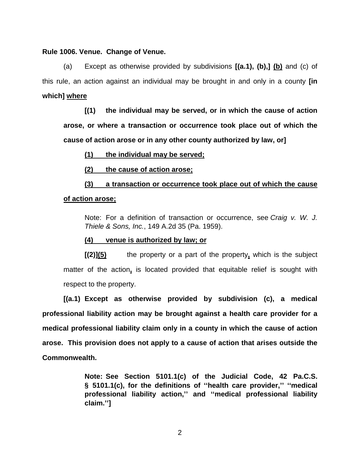#### **Rule 1006. Venue. Change of Venue.**

(a) Except as otherwise provided by subdivisions **[(a.1), (b),] (b)** and (c) of this rule, an action against an individual may be brought in and only in a county **[in which] where**

**[(1) the individual may be served, or in which the cause of action arose, or where a transaction or occurrence took place out of which the cause of action arose or in any other county authorized by law, or]**

### **(1) the individual may be served;**

**(2) the cause of action arose;**

**(3) a transaction or occurrence took place out of which the cause of action arose;**

Note: For a definition of transaction or occurrence, see *Craig v. W. J. Thiele & Sons, Inc.*, 149 A.2d 35 (Pa. 1959).

### **(4) venue is authorized by law; or**

**[(2)](5)** the property or a part of the property**,** which is the subject matter of the action**,** is located provided that equitable relief is sought with respect to the property.

**[(a.1) Except as otherwise provided by subdivision (c), a medical professional liability action may be brought against a health care provider for a medical professional liability claim only in a county in which the cause of action arose. This provision does not apply to a cause of action that arises outside the Commonwealth.**

> **Note: See Section 5101.1(c) of the Judicial Code, 42 Pa.C.S. § 5101.1(c), for the definitions of ''health care provider,'' ''medical professional liability action,'' and ''medical professional liability claim.'']**

> > 2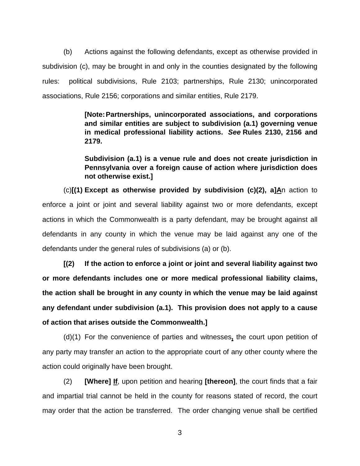(b) Actions against the following defendants, except as otherwise provided in subdivision (c), may be brought in and only in the counties designated by the following rules: political subdivisions, Rule 2103; partnerships, Rule 2130; unincorporated associations, Rule 2156; corporations and similar entities, Rule 2179.

> **[Note:Partnerships, unincorporated associations, and corporations and similar entities are subject to subdivision (a.1) governing venue in medical professional liability actions.** *See* **Rules 2130, 2156 and 2179.**

> **Subdivision (a.1) is a venue rule and does not create jurisdiction in Pennsylvania over a foreign cause of action where jurisdiction does not otherwise exist.]**

(c)**[(1) Except as otherwise provided by subdivision (c)(2), a]A**n action to enforce a joint or joint and several liability against two or more defendants, except actions in which the Commonwealth is a party defendant, may be brought against all defendants in any county in which the venue may be laid against any one of the defendants under the general rules of subdivisions (a) or (b).

**[(2) If the action to enforce a joint or joint and several liability against two or more defendants includes one or more medical professional liability claims, the action shall be brought in any county in which the venue may be laid against any defendant under subdivision (a.1). This provision does not apply to a cause of action that arises outside the Commonwealth.]**

(d)(1) For the convenience of parties and witnesses**,** the court upon petition of any party may transfer an action to the appropriate court of any other county where the action could originally have been brought.

 (2) **[Where] If**, upon petition and hearing **[thereon]**, the court finds that a fair and impartial trial cannot be held in the county for reasons stated of record, the court may order that the action be transferred. The order changing venue shall be certified

3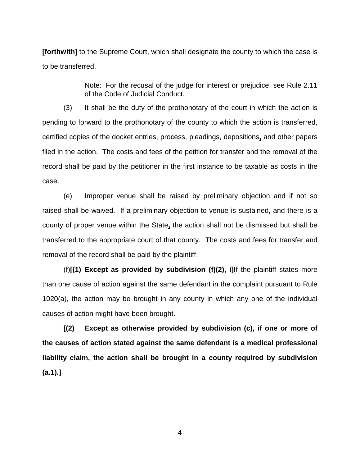**[forthwith]** to the Supreme Court, which shall designate the county to which the case is to be transferred.

> Note: For the recusal of the judge for interest or prejudice, see Rule 2.11 of the Code of Judicial Conduct.

(3) It shall be the duty of the prothonotary of the court in which the action is pending to forward to the prothonotary of the county to which the action is transferred, certified copies of the docket entries, process, pleadings, depositions**,** and other papers filed in the action. The costs and fees of the petition for transfer and the removal of the record shall be paid by the petitioner in the first instance to be taxable as costs in the case.

(e) Improper venue shall be raised by preliminary objection and if not so raised shall be waived. If a preliminary objection to venue is sustained**,** and there is a county of proper venue within the State**,** the action shall not be dismissed but shall be transferred to the appropriate court of that county. The costs and fees for transfer and removal of the record shall be paid by the plaintiff.

(f)**[(1) Except as provided by subdivision (f)(2), i]I**f the plaintiff states more than one cause of action against the same defendant in the complaint pursuant to Rule 1020(a), the action may be brought in any county in which any one of the individual causes of action might have been brought.

**[(2) Except as otherwise provided by subdivision (c), if one or more of the causes of action stated against the same defendant is a medical professional liability claim, the action shall be brought in a county required by subdivision (a.1).]**

4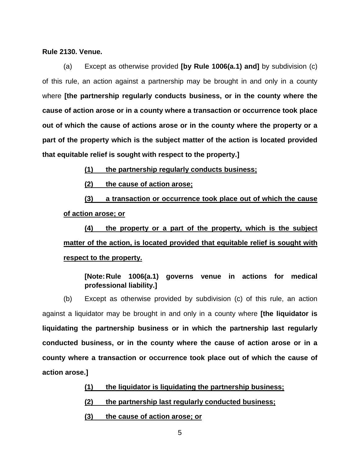#### **Rule 2130. Venue.**

(a) Except as otherwise provided **[by Rule 1006(a.1) and]** by subdivision (c) of this rule, an action against a partnership may be brought in and only in a county where **[the partnership regularly conducts business, or in the county where the cause of action arose or in a county where a transaction or occurrence took place out of which the cause of actions arose or in the county where the property or a part of the property which is the subject matter of the action is located provided that equitable relief is sought with respect to the property.]**

**(1) the partnership regularly conducts business;**

**(2) the cause of action arose;**

**(3) a transaction or occurrence took place out of which the cause of action arose; or**

**(4) the property or a part of the property, which is the subject matter of the action, is located provided that equitable relief is sought with respect to the property.**

## **[Note:Rule 1006(a.1) governs venue in actions for medical professional liability.]**

(b) Except as otherwise provided by subdivision (c) of this rule, an action against a liquidator may be brought in and only in a county where **[the liquidator is liquidating the partnership business or in which the partnership last regularly conducted business, or in the county where the cause of action arose or in a county where a transaction or occurrence took place out of which the cause of action arose.]**

- **(1) the liquidator is liquidating the partnership business;**
- **(2) the partnership last regularly conducted business;**
- **(3) the cause of action arose; or**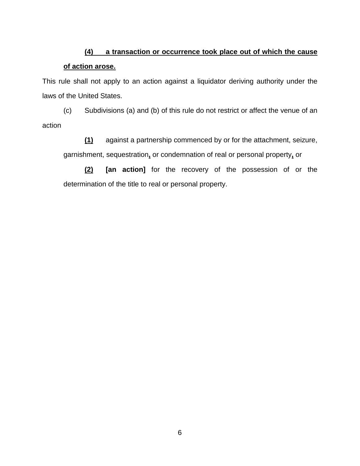# **(4) a transaction or occurrence took place out of which the cause of action arose.**

This rule shall not apply to an action against a liquidator deriving authority under the laws of the United States.

(c) Subdivisions (a) and (b) of this rule do not restrict or affect the venue of an action

**(1)** against a partnership commenced by or for the attachment, seizure, garnishment, sequestration**,** or condemnation of real or personal property**,** or

**(2) [an action]** for the recovery of the possession of or the determination of the title to real or personal property.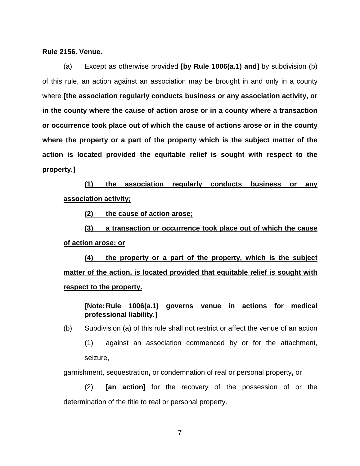#### **Rule 2156. Venue.**

(a) Except as otherwise provided **[by Rule 1006(a.1) and]** by subdivision (b) of this rule, an action against an association may be brought in and only in a county where **[the association regularly conducts business or any association activity, or in the county where the cause of action arose or in a county where a transaction or occurrence took place out of which the cause of actions arose or in the county where the property or a part of the property which is the subject matter of the action is located provided the equitable relief is sought with respect to the property.]**

**(1) the association regularly conducts business or any association activity;**

**(2) the cause of action arose;**

**(3) a transaction or occurrence took place out of which the cause of action arose; or**

**(4) the property or a part of the property, which is the subject matter of the action, is located provided that equitable relief is sought with respect to the property.**

**[Note:Rule 1006(a.1) governs venue in actions for medical professional liability.]**

(b) Subdivision (a) of this rule shall not restrict or affect the venue of an action

(1) against an association commenced by or for the attachment, seizure,

garnishment, sequestration**,** or condemnation of real or personal property**,** or

(2) **[an action]** for the recovery of the possession of or the determination of the title to real or personal property.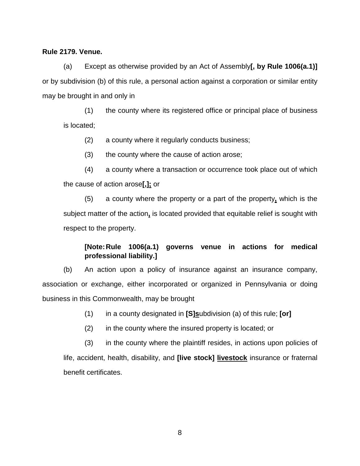## **Rule 2179. Venue.**

(a) Except as otherwise provided by an Act of Assembly**[, by Rule 1006(a.1)]** or by subdivision (b) of this rule, a personal action against a corporation or similar entity may be brought in and only in

(1) the county where its registered office or principal place of business is located;

(2) a county where it regularly conducts business;

(3) the county where the cause of action arose;

 (4) a county where a transaction or occurrence took place out of which the cause of action arose**[,];** or

(5) a county where the property or a part of the property**,** which is the subject matter of the action**,** is located provided that equitable relief is sought with respect to the property.

## **[Note:Rule 1006(a.1) governs venue in actions for medical professional liability.]**

(b) An action upon a policy of insurance against an insurance company, association or exchange, either incorporated or organized in Pennsylvania or doing business in this Commonwealth, may be brought

(1) in a county designated in **[S]s**ubdivision (a) of this rule; **[or]**

(2) in the county where the insured property is located; or

 (3) in the county where the plaintiff resides, in actions upon policies of life, accident, health, disability, and **[live stock] livestock** insurance or fraternal benefit certificates.